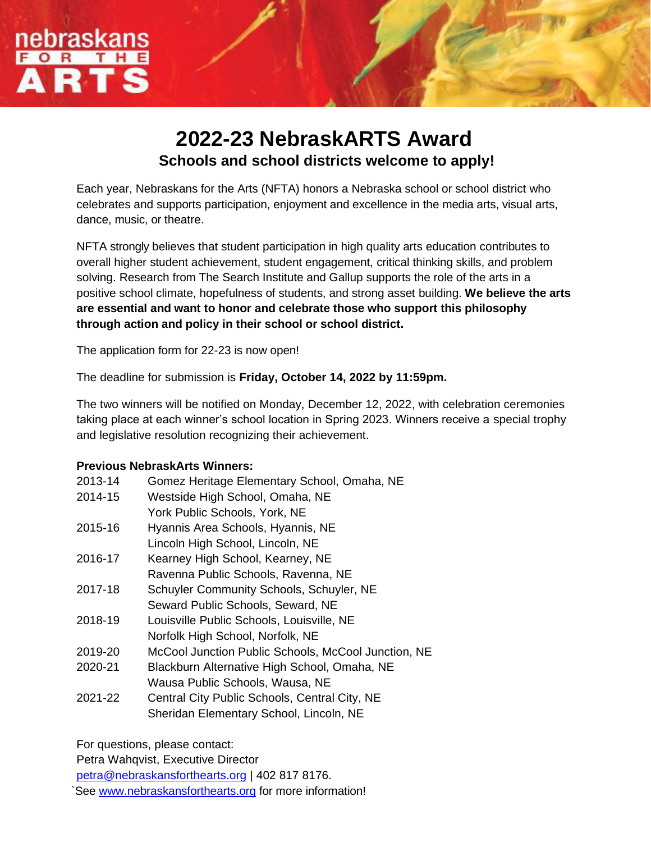

# **2022-23 NebraskARTS Award Schools and school districts welcome to apply!**

Each year, Nebraskans for the Arts (NFTA) honors a Nebraska school or school district who celebrates and supports participation, enjoyment and excellence in the media arts, visual arts, dance, music, or theatre.

NFTA strongly believes that student participation in high quality arts education contributes to overall higher student achievement, student engagement, critical thinking skills, and problem solving. Research from The Search Institute and Gallup supports the role of the arts in a positive school climate, hopefulness of students, and strong asset building. **We believe the arts are essential and want to honor and celebrate those who support this philosophy through action and policy in their school or school district.**

The application form for 22-23 is now open!

The deadline for submission is **Friday, October 14, 2022 by 11:59pm.** 

The two winners will be notified on Monday, December 12, 2022, with celebration ceremonies taking place at each winner's school location in Spring 2023. Winners receive a special trophy and legislative resolution recognizing their achievement.

### **Previous NebraskArts Winners:**

| 2013-14 | Gomez Heritage Elementary School, Omaha, NE         |
|---------|-----------------------------------------------------|
| 2014-15 | Westside High School, Omaha, NE                     |
|         | York Public Schools, York, NE                       |
| 2015-16 | Hyannis Area Schools, Hyannis, NE                   |
|         | Lincoln High School, Lincoln, NE                    |
| 2016-17 | Kearney High School, Kearney, NE                    |
|         | Ravenna Public Schools, Ravenna, NE                 |
| 2017-18 | Schuyler Community Schools, Schuyler, NE            |
|         | Seward Public Schools, Seward, NE                   |
| 2018-19 | Louisville Public Schools, Louisville, NE           |
|         | Norfolk High School, Norfolk, NE                    |
| 2019-20 | McCool Junction Public Schools, McCool Junction, NE |
| 2020-21 | Blackburn Alternative High School, Omaha, NE        |
|         | Wausa Public Schools, Wausa, NE                     |
| 2021-22 | Central City Public Schools, Central City, NE       |
|         | Sheridan Elementary School, Lincoln, NE             |

For questions, please contact:

Petra Wahqvist, Executive Director

[petra@nebraskansforthearts.org](mailto:petra@nebraskansforthearts.org) | 402 817 8176.

See [www.nebraskansforthearts.org](http://www.nebraskansforthearts.org/) for more information!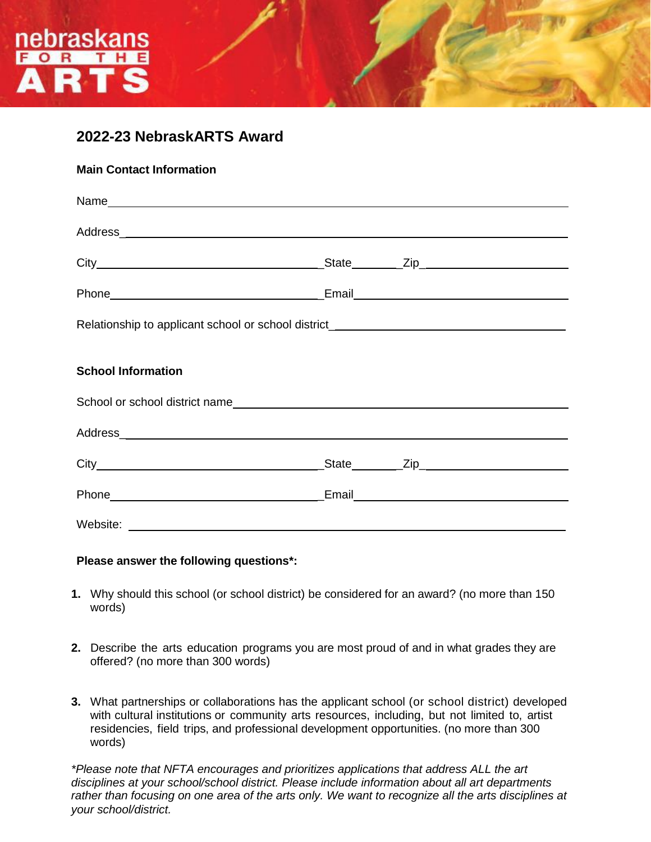

### **2022-23 NebraskARTS Award**

| <b>Main Contact Information</b>                                                  |  |  |  |
|----------------------------------------------------------------------------------|--|--|--|
|                                                                                  |  |  |  |
|                                                                                  |  |  |  |
|                                                                                  |  |  |  |
|                                                                                  |  |  |  |
| Relationship to applicant school or school district_____________________________ |  |  |  |
| <b>School Information</b>                                                        |  |  |  |
|                                                                                  |  |  |  |
|                                                                                  |  |  |  |
|                                                                                  |  |  |  |
|                                                                                  |  |  |  |
|                                                                                  |  |  |  |

### **Please answer the following questions\*:**

- **1.** Why should this school (or school district) be considered for an award? (no more than 150 words)
- **2.** Describe the arts education programs you are most proud of and in what grades they are offered? (no more than 300 words)
- **3.** What partnerships or collaborations has the applicant school (or school district) developed with cultural institutions or community arts resources, including, but not limited to, artist residencies, field trips, and professional development opportunities. (no more than 300 words)

*\*Please note that NFTA encourages and prioritizes applications that address ALL the art disciplines at your school/school district. Please include information about all art departments rather than focusing on one area of the arts only. We want to recognize all the arts disciplines at your school/district.*